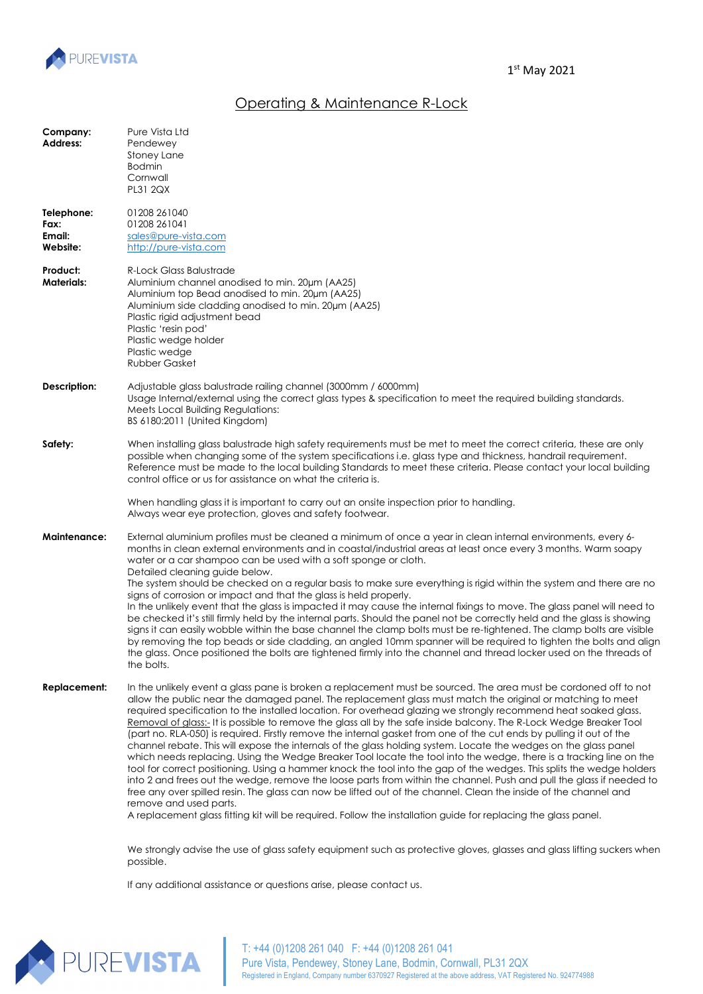

## Operating & Maintenance R-Lock

| Company:<br><b>Address:</b>              | Pure Vista Ltd<br>Pendewey<br>Stoney Lane<br><b>Bodmin</b><br>Cornwall<br>PL31 2QX                                                                                                                                                                                                                                                                                                                                                                                                                                                                                                                                                                                                                                                                                                                                                                                                                                                                                                                                                                                                                                                                                                                                                                                                                                                                           |
|------------------------------------------|--------------------------------------------------------------------------------------------------------------------------------------------------------------------------------------------------------------------------------------------------------------------------------------------------------------------------------------------------------------------------------------------------------------------------------------------------------------------------------------------------------------------------------------------------------------------------------------------------------------------------------------------------------------------------------------------------------------------------------------------------------------------------------------------------------------------------------------------------------------------------------------------------------------------------------------------------------------------------------------------------------------------------------------------------------------------------------------------------------------------------------------------------------------------------------------------------------------------------------------------------------------------------------------------------------------------------------------------------------------|
| Telephone:<br>Fax:<br>Email:<br>Website: | 01208 261040<br>01208 261041<br>sales@pure-vista.com<br>http://pure-vista.com                                                                                                                                                                                                                                                                                                                                                                                                                                                                                                                                                                                                                                                                                                                                                                                                                                                                                                                                                                                                                                                                                                                                                                                                                                                                                |
| Product:<br><b>Materials:</b>            | R-Lock Glass Balustrade<br>Aluminium channel anodised to min, 20um (AA25)<br>Aluminium top Bead anodised to min. 20µm (AA25)<br>Aluminium side cladding anodised to min. 20µm (AA25)<br>Plastic rigid adjustment bead<br>Plastic 'resin pod'<br>Plastic wedge holder<br>Plastic wedge<br><b>Rubber Gasket</b>                                                                                                                                                                                                                                                                                                                                                                                                                                                                                                                                                                                                                                                                                                                                                                                                                                                                                                                                                                                                                                                |
| Description:                             | Adjustable glass balustrade railing channel (3000mm / 6000mm)<br>Usage Internal/external using the correct glass types & specification to meet the required building standards.<br>Meets Local Building Regulations:<br>BS 6180:2011 (United Kingdom)                                                                                                                                                                                                                                                                                                                                                                                                                                                                                                                                                                                                                                                                                                                                                                                                                                                                                                                                                                                                                                                                                                        |
| Safety:                                  | When installing glass balustrade high safety requirements must be met to meet the correct criteria, these are only<br>possible when changing some of the system specifications i.e. glass type and thickness, handrail requirement.<br>Reference must be made to the local building Standards to meet these criteria. Please contact your local building<br>control office or us for assistance on what the criteria is.<br>When handling glass it is important to carry out an onsite inspection prior to handling.                                                                                                                                                                                                                                                                                                                                                                                                                                                                                                                                                                                                                                                                                                                                                                                                                                         |
| Maintenance:                             | Always wear eye protection, gloves and safety footwear.<br>External aluminium profiles must be cleaned a minimum of once a year in clean internal environments, every 6-<br>months in clean external environments and in coastal/industrial areas at least once every 3 months. Warm soapy<br>water or a car shampoo can be used with a soft sponge or cloth.<br>Detailed cleaning guide below.<br>The system should be checked on a regular basis to make sure everything is rigid within the system and there are no<br>signs of corrosion or impact and that the glass is held properly.<br>In the unlikely event that the glass is impacted it may cause the internal fixings to move. The glass panel will need to<br>be checked it's still firmly held by the internal parts. Should the panel not be correctly held and the glass is showing<br>signs it can easily wobble within the base channel the clamp bolts must be re-tightened. The clamp bolts are visible<br>by removing the top beads or side cladding, an angled 10mm spanner will be required to tighten the bolts and align<br>the glass. Once positioned the bolts are tightened firmly into the channel and thread locker used on the threads of<br>the bolts.                                                                                                                       |
| <b>Replacement:</b>                      | In the unlikely event a glass pane is broken a replacement must be sourced. The area must be cordoned off to not<br>allow the public near the damaged panel. The replacement glass must match the original or matching to meet<br>required specification to the installed location. For overhead glazing we strongly recommend heat soaked glass.<br>Removal of glass:- It is possible to remove the glass all by the safe inside balcony. The R-Lock Wedge Breaker Tool<br>(part no. RLA-050) is required. Firstly remove the internal gasket from one of the cut ends by pulling it out of the<br>channel rebate. This will expose the internals of the glass holding system. Locate the wedges on the glass panel<br>which needs replacing. Using the Wedge Breaker Tool locate the tool into the wedge, there is a tracking line on the<br>tool for correct positioning. Using a hammer knock the tool into the gap of the wedges. This splits the wedge holders<br>into 2 and frees out the wedge, remove the loose parts from within the channel. Push and pull the glass if needed to<br>free any over spilled resin. The glass can now be lifted out of the channel. Clean the inside of the channel and<br>remove and used parts.<br>A replacement glass fitting kit will be required. Follow the installation guide for replacing the glass panel. |
|                                          | We strongly advise the use of glass safety equipment such as protective gloves, glasses and glass lifting suckers when<br>possible.                                                                                                                                                                                                                                                                                                                                                                                                                                                                                                                                                                                                                                                                                                                                                                                                                                                                                                                                                                                                                                                                                                                                                                                                                          |

If any additional assistance or questions arise, please contact us.